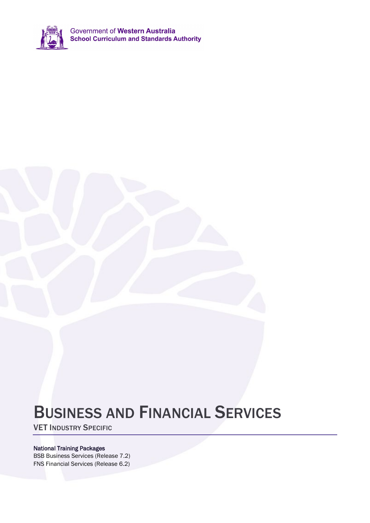

Government of Western Australia<br>School Curriculum and Standards Authority

# BUSINESS AND FINANCIAL SERVICES

VET INDUSTRY SPECIFIC

### National Training Packages

BSB Business Services (Release 7.2) FNS Financial Services (Release 6.2)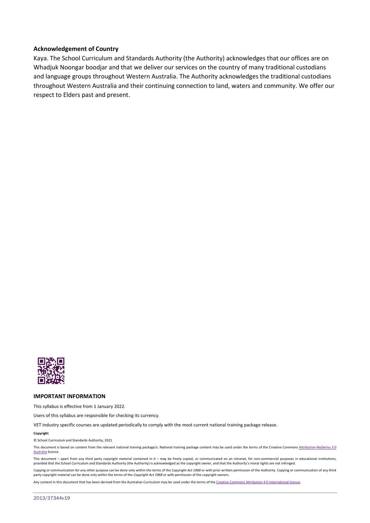#### **Acknowledgement of Country**

Kaya. The School Curriculum and Standards Authority (the Authority) acknowledges that our offices are on Whadjuk Noongar boodjar and that we deliver our services on the country of many traditional custodians and language groups throughout Western Australia. The Authority acknowledges the traditional custodians throughout Western Australia and their continuing connection to land, waters and community. We offer our respect to Elders past and present.



#### **IMPORTANT INFORMATION**

This syllabus is effective from 1 January 2022.

Users of this syllabus are responsible for checking its currency.

VET industry specific courses are updated periodically to comply with the most current national training package release.

#### **Copyright**

© School Curriculum and Standards Authority, 2021

This document is based on content from the relevant national training package/s. National training package content may be used under the terms of the Creative Commons Attribution-NoDerivs 3.0 [Australia](https://creativecommons.org/licenses/by-nd/3.0/au/) licence.

This document – apart from any third party copyright material contained in it – may be freely copied, or communicated on an intranet, for non-commercial purposes in educational institutions, provided that the School Curriculum and Standards Authority (the Authority) is acknowledged as the copyright owner, and that the Authority's moral rights are not infringed.

Copying or communication for any other purpose can be done only within the terms of the *Copyright Act 1968* or with prior written permission of the Authority. Copying or communication of any third party copyright material can be done only within the terms of the *Copyright Act 1968* or with permission of the copyright owners.

Any content in this document that has been derived from the Australian Curriculum may be used under the terms of th[e Creative Commons Attribution 4.0 International licence.](https://creativecommons.org/licenses/by/4.0/)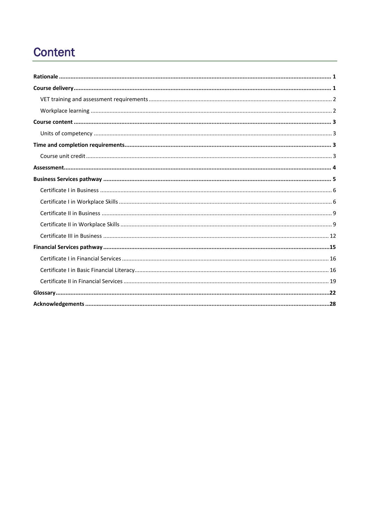## **Content**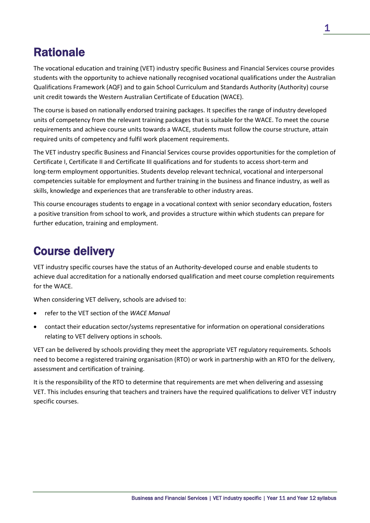## <span id="page-4-0"></span>**Rationale**

The vocational education and training (VET) industry specific Business and Financial Services course provides students with the opportunity to achieve nationally recognised vocational qualifications under the Australian Qualifications Framework (AQF) and to gain School Curriculum and Standards Authority (Authority) course unit credit towards the Western Australian Certificate of Education (WACE).

The course is based on nationally endorsed training packages. It specifies the range of industry developed units of competency from the relevant training packages that is suitable for the WACE. To meet the course requirements and achieve course units towards a WACE, students must follow the course structure, attain required units of competency and fulfil work placement requirements.

The VET industry specific Business and Financial Services course provides opportunities for the completion of Certificate I, Certificate II and Certificate III qualifications and for students to access short-term and long-term employment opportunities. Students develop relevant technical, vocational and interpersonal competencies suitable for employment and further training in the business and finance industry, as well as skills, knowledge and experiences that are transferable to other industry areas.

This course encourages students to engage in a vocational context with senior secondary education, fosters a positive transition from school to work, and provides a structure within which students can prepare for further education, training and employment.

## <span id="page-4-1"></span>Course delivery

VET industry specific courses have the status of an Authority-developed course and enable students to achieve dual accreditation for a nationally endorsed qualification and meet course completion requirements for the WACE.

When considering VET delivery, schools are advised to:

- refer to the VET section of the *WACE Manual*
- contact their education sector/systems representative for information on operational considerations relating to VET delivery options in schools.

VET can be delivered by schools providing they meet the appropriate VET regulatory requirements. Schools need to become a registered training organisation (RTO) or work in partnership with an RTO for the delivery, assessment and certification of training.

It is the responsibility of the RTO to determine that requirements are met when delivering and assessing VET. This includes ensuring that teachers and trainers have the required qualifications to deliver VET industry specific courses.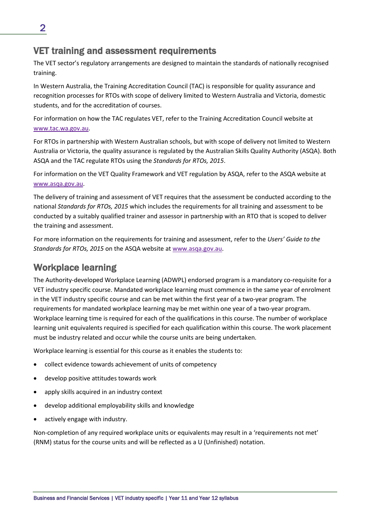### <span id="page-5-0"></span>VET training and assessment requirements

The VET sector's regulatory arrangements are designed to maintain the standards of nationally recognised training.

In Western Australia, the Training Accreditation Council (TAC) is responsible for quality assurance and recognition processes for RTOs with scope of delivery limited to Western Australia and Victoria, domestic students, and for the accreditation of courses.

For information on how the TAC regulates VET, refer to the Training Accreditation Council website at [www.tac.wa.gov.au.](http://www.tac.wa.gov.au/)

For RTOs in partnership with Western Australian schools, but with scope of delivery not limited to Western Australia or Victoria, the quality assurance is regulated by the Australian Skills Quality Authority (ASQA). Both ASQA and the TAC regulate RTOs using the *Standards for RTOs, 2015*.

For information on the VET Quality Framework and VET regulation by ASQA, refer to the ASQA website at [www.asqa.gov.au.](https://www.asqa.gov.au/)

The delivery of training and assessment of VET requires that the assessment be conducted according to the national *Standards for RTOs, 2015* which includes the requirements for all training and assessment to be conducted by a suitably qualified trainer and assessor in partnership with an RTO that is scoped to deliver the training and assessment.

For more information on the requirements for training and assessment, refer to the *Users' Guide to the Standards for RTOs, 2015* on the ASQA website at [www.asqa.gov.au.](https://www.asqa.gov.au/)

### <span id="page-5-1"></span>Workplace learning

The Authority-developed Workplace Learning (ADWPL) endorsed program is a mandatory co-requisite for a VET industry specific course. Mandated workplace learning must commence in the same year of enrolment in the VET industry specific course and can be met within the first year of a two-year program. The requirements for mandated workplace learning may be met within one year of a two-year program. Workplace learning time is required for each of the qualifications in this course. The number of workplace learning unit equivalents required is specified for each qualification within this course. The work placement must be industry related and occur while the course units are being undertaken.

Workplace learning is essential for this course as it enables the students to:

- collect evidence towards achievement of units of competency
- develop positive attitudes towards work
- apply skills acquired in an industry context
- develop additional employability skills and knowledge
- actively engage with industry.

Non-completion of any required workplace units or equivalents may result in a 'requirements not met' (RNM) status for the course units and will be reflected as a U (Unfinished) notation.

2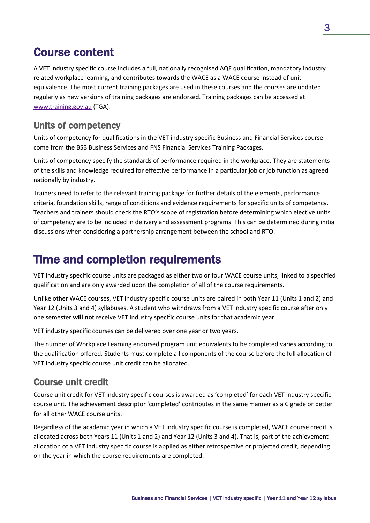## <span id="page-6-0"></span>Course content

A VET industry specific course includes a full, nationally recognised AQF qualification, mandatory industry related workplace learning, and contributes towards the WACE as a WACE course instead of unit equivalence. The most current training packages are used in these courses and the courses are updated regularly as new versions of training packages are endorsed. Training packages can be accessed at [www.training.gov.au](https://training.gov.au/) (TGA).

### <span id="page-6-1"></span>Units of competency

Units of competency for qualifications in the VET industry specific Business and Financial Services course come from the BSB Business Services and FNS Financial Services Training Packages.

Units of competency specify the standards of performance required in the workplace. They are statements of the skills and knowledge required for effective performance in a particular job or job function as agreed nationally by industry.

Trainers need to refer to the relevant training package for further details of the elements, performance criteria, foundation skills, range of conditions and evidence requirements for specific units of competency. Teachers and trainers should check the RTO's scope of registration before determining which elective units of competency are to be included in delivery and assessment programs. This can be determined during initial discussions when considering a partnership arrangement between the school and RTO.

## <span id="page-6-2"></span>Time and completion requirements

VET industry specific course units are packaged as either two or four WACE course units, linked to a specified qualification and are only awarded upon the completion of all of the course requirements.

Unlike other WACE courses, VET industry specific course units are paired in both Year 11 (Units 1 and 2) and Year 12 (Units 3 and 4) syllabuses. A student who withdraws from a VET industry specific course after only one semester **will not** receive VET industry specific course units for that academic year.

VET industry specific courses can be delivered over one year or two years.

The number of Workplace Learning endorsed program unit equivalents to be completed varies according to the qualification offered. Students must complete all components of the course before the full allocation of VET industry specific course unit credit can be allocated.

### <span id="page-6-3"></span>Course unit credit

Course unit credit for VET industry specific courses is awarded as 'completed' for each VET industry specific course unit. The achievement descriptor 'completed' contributes in the same manner as a C grade or better for all other WACE course units.

Regardless of the academic year in which a VET industry specific course is completed, WACE course credit is allocated across both Years 11 (Units 1 and 2) and Year 12 (Units 3 and 4). That is, part of the achievement allocation of a VET industry specific course is applied as either retrospective or projected credit, depending on the year in which the course requirements are completed.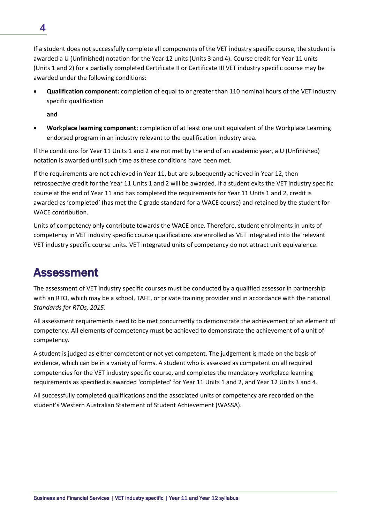If a student does not successfully complete all components of the VET industry specific course, the student is awarded a U (Unfinished) notation for the Year 12 units (Units 3 and 4). Course credit for Year 11 units (Units 1 and 2) for a partially completed Certificate II or Certificate III VET industry specific course may be awarded under the following conditions:

• **Qualification component:** completion of equal to or greater than 110 nominal hours of the VET industry specific qualification

**and**

• **Workplace learning component:** completion of at least one unit equivalent of the Workplace Learning endorsed program in an industry relevant to the qualification industry area.

If the conditions for Year 11 Units 1 and 2 are not met by the end of an academic year, a U (Unfinished) notation is awarded until such time as these conditions have been met.

If the requirements are not achieved in Year 11, but are subsequently achieved in Year 12, then retrospective credit for the Year 11 Units 1 and 2 will be awarded. If a student exits the VET industry specific course at the end of Year 11 and has completed the requirements for Year 11 Units 1 and 2, credit is awarded as 'completed' (has met the C grade standard for a WACE course) and retained by the student for WACE contribution.

Units of competency only contribute towards the WACE once. Therefore, student enrolments in units of competency in VET industry specific course qualifications are enrolled as VET integrated into the relevant VET industry specific course units. VET integrated units of competency do not attract unit equivalence.

## <span id="page-7-0"></span>Assessment

The assessment of VET industry specific courses must be conducted by a qualified assessor in partnership with an RTO, which may be a school, TAFE, or private training provider and in accordance with the national *Standards for RTOs, 2015*.

All assessment requirements need to be met concurrently to demonstrate the achievement of an element of competency. All elements of competency must be achieved to demonstrate the achievement of a unit of competency.

A student is judged as either competent or not yet competent. The judgement is made on the basis of evidence, which can be in a variety of forms. A student who is assessed as competent on all required competencies for the VET industry specific course, and completes the mandatory workplace learning requirements as specified is awarded 'completed' for Year 11 Units 1 and 2, and Year 12 Units 3 and 4.

All successfully completed qualifications and the associated units of competency are recorded on the student's Western Australian Statement of Student Achievement (WASSA).

4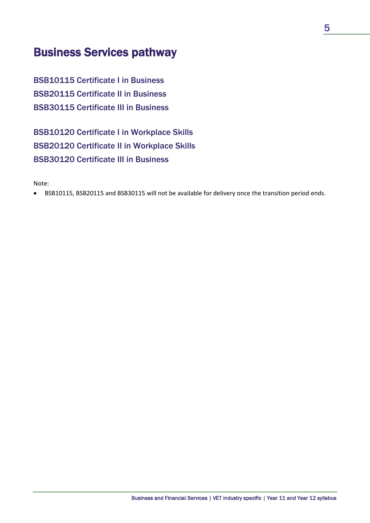## <span id="page-8-0"></span>Business Services pathway

BSB10115 Certificate I in Business BSB20115 Certificate II in Business BSB30115 Certificate III in Business

BSB10120 Certificate I in Workplace Skills BSB20120 Certificate II in Workplace Skills BSB30120 Certificate III in Business

Note:

• BSB10115, BSB20115 and BSB30115 will not be available for delivery once the transition period ends.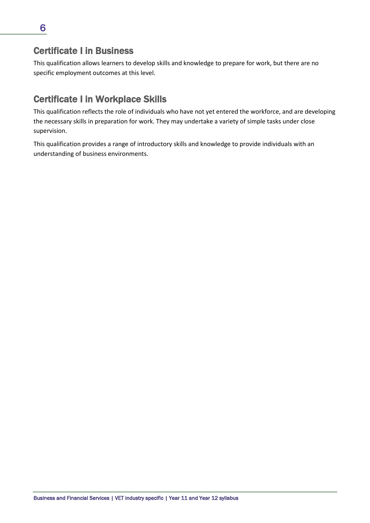<span id="page-9-0"></span>This qualification allows learners to develop skills and knowledge to prepare for work, but there are no specific employment outcomes at this level.

### <span id="page-9-1"></span>Certificate I in Workplace Skills

This qualification reflects the role of individuals who have not yet entered the workforce, and are developing the necessary skills in preparation for work. They may undertake a variety of simple tasks under close supervision.

This qualification provides a range of introductory skills and knowledge to provide individuals with an understanding of business environments.

6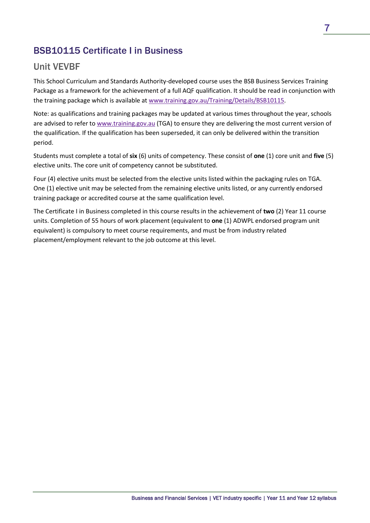### BSB10115 Certificate I in Business

### Unit VEVBF

This School Curriculum and Standards Authority-developed course uses the BSB Business Services Training Package as a framework for the achievement of a full AQF qualification. It should be read in conjunction with the training package which is available a[t www.training.gov.au/Training/Details/BSB10115.](https://training.gov.au/Training/Details/BSB10115)

Note: as qualifications and training packages may be updated at various times throughout the year, schools are advised to refer to [www.training.gov.au](https://training.gov.au/) (TGA) to ensure they are delivering the most current version of the qualification. If the qualification has been superseded, it can only be delivered within the transition period.

Students must complete a total of **six** (6) units of competency. These consist of **one** (1) core unit and **five** (5) elective units. The core unit of competency cannot be substituted.

Four (4) elective units must be selected from the elective units listed within the packaging rules on TGA. One (1) elective unit may be selected from the remaining elective units listed, or any currently endorsed training package or accredited course at the same qualification level.

The Certificate I in Business completed in this course results in the achievement of **two** (2) Year 11 course units. Completion of 55 hours of work placement (equivalent to **one** (1) ADWPL endorsed program unit equivalent) is compulsory to meet course requirements, and must be from industry related placement/employment relevant to the job outcome at this level.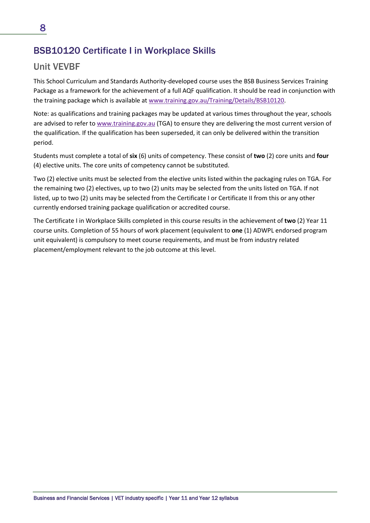### BSB10120 Certificate I in Workplace Skills

### Unit VEVBF

This School Curriculum and Standards Authority-developed course uses the BSB Business Services Training Package as a framework for the achievement of a full AQF qualification. It should be read in conjunction with the training package which is available a[t www.training.gov.au/Training/Details/BSB10120.](http://www.training.gov.au/Training/Details/BSB10120)

Note: as qualifications and training packages may be updated at various times throughout the year, schools are advised to refer to [www.training.gov.au](https://training.gov.au/) (TGA) to ensure they are delivering the most current version of the qualification. If the qualification has been superseded, it can only be delivered within the transition period.

Students must complete a total of **six** (6) units of competency. These consist of **two** (2) core units and **four** (4) elective units. The core units of competency cannot be substituted.

Two (2) elective units must be selected from the elective units listed within the packaging rules on TGA. For the remaining two (2) electives, up to two (2) units may be selected from the units listed on TGA. If not listed, up to two (2) units may be selected from the Certificate I or Certificate II from this or any other currently endorsed training package qualification or accredited course.

The Certificate I in Workplace Skills completed in this course results in the achievement of **two** (2) Year 11 course units. Completion of 55 hours of work placement (equivalent to **one** (1) ADWPL endorsed program unit equivalent) is compulsory to meet course requirements, and must be from industry related placement/employment relevant to the job outcome at this level.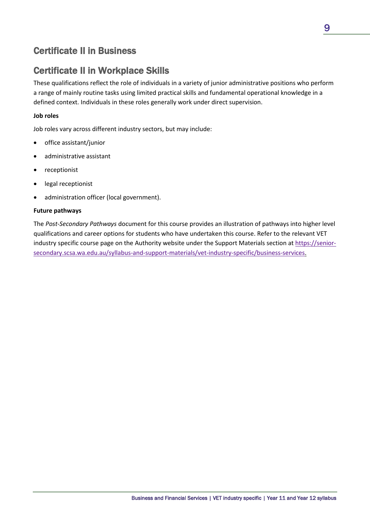### <span id="page-12-0"></span>Certificate II in Business

### <span id="page-12-1"></span>Certificate II in Workplace Skills

These qualifications reflect the role of individuals in a variety of junior administrative positions who perform a range of mainly routine tasks using limited practical skills and fundamental operational knowledge in a defined context. Individuals in these roles generally work under direct supervision.

#### **Job roles**

Job roles vary across different industry sectors, but may include:

- office assistant/junior
- administrative assistant
- receptionist
- legal receptionist
- administration officer (local government).

#### **Future pathways**

The *Post-Secondary Pathways* document for this course provides an illustration of pathways into higher level qualifications and career options for students who have undertaken this course. Refer to the relevant VET industry specific course page on the Authority website under the Support Materials section at [https://senior](https://senior-secondary.scsa.wa.edu.au/syllabus-and-support-materials/vet-industry-specific/business-services)[secondary.scsa.wa.edu.au/syllabus-and-support-materials/vet-industry-specific/business-services.](https://senior-secondary.scsa.wa.edu.au/syllabus-and-support-materials/vet-industry-specific/business-services)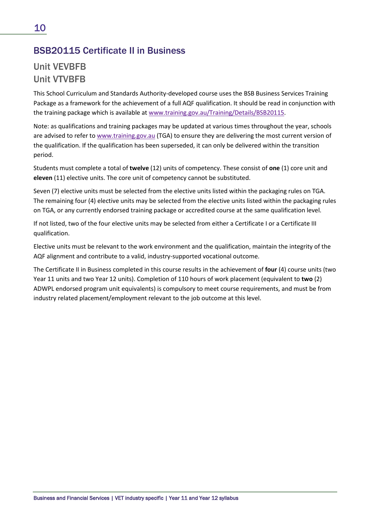### BSB20115 Certificate II in Business

### Unit VEVBFB Unit VTVBFB

This School Curriculum and Standards Authority-developed course uses the BSB Business Services Training Package as a framework for the achievement of a full AQF qualification. It should be read in conjunction with the training package which is available a[t www.training.gov.au/Training/Details/BSB20115.](http://training.gov.au/Training/Details/BSB20115)

Note: as qualifications and training packages may be updated at various times throughout the year, schools are advised to refer to [www.training.gov.au](https://training.gov.au/) (TGA) to ensure they are delivering the most current version of the qualification. If the qualification has been superseded, it can only be delivered within the transition period.

Students must complete a total of **twelve** (12) units of competency. These consist of **one** (1) core unit and **eleven** (11) elective units. The core unit of competency cannot be substituted.

Seven (7) elective units must be selected from the elective units listed within the packaging rules on TGA. The remaining four (4) elective units may be selected from the elective units listed within the packaging rules on TGA, or any currently endorsed training package or accredited course at the same qualification level.

If not listed, two of the four elective units may be selected from either a Certificate I or a Certificate III qualification.

Elective units must be relevant to the work environment and the qualification, maintain the integrity of the AQF alignment and contribute to a valid, industry-supported vocational outcome.

The Certificate II in Business completed in this course results in the achievement of **four** (4) course units (two Year 11 units and two Year 12 units). Completion of 110 hours of work placement (equivalent to **two** (2) ADWPL endorsed program unit equivalents) is compulsory to meet course requirements, and must be from industry related placement/employment relevant to the job outcome at this level.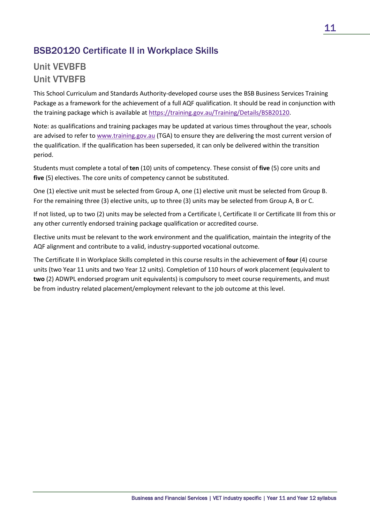### BSB20120 Certificate II in Workplace Skills

### Unit VEVBFB Unit VTVBFB

This School Curriculum and Standards Authority-developed course uses the BSB Business Services Training Package as a framework for the achievement of a full AQF qualification. It should be read in conjunction with the training package which is available a[t https://training.gov.au/Training/Details/BSB20120.](https://training.gov.au/Training/Details/BSB20120)

Note: as qualifications and training packages may be updated at various times throughout the year, schools are advised to refer to [www.training.gov.au](https://training.gov.au/) (TGA) to ensure they are delivering the most current version of the qualification. If the qualification has been superseded, it can only be delivered within the transition period.

Students must complete a total of **ten** (10) units of competency. These consist of **five** (5) core units and **five** (5) electives. The core units of competency cannot be substituted.

One (1) elective unit must be selected from Group A, one (1) elective unit must be selected from Group B. For the remaining three (3) elective units, up to three (3) units may be selected from Group A, B or C.

If not listed, up to two (2) units may be selected from a Certificate I, Certificate II or Certificate III from this or any other currently endorsed training package qualification or accredited course.

Elective units must be relevant to the work environment and the qualification, maintain the integrity of the AQF alignment and contribute to a valid, industry-supported vocational outcome.

The Certificate II in Workplace Skills completed in this course results in the achievement of **four** (4) course units (two Year 11 units and two Year 12 units). Completion of 110 hours of work placement (equivalent to **two** (2) ADWPL endorsed program unit equivalents) is compulsory to meet course requirements, and must be from industry related placement/employment relevant to the job outcome at this level.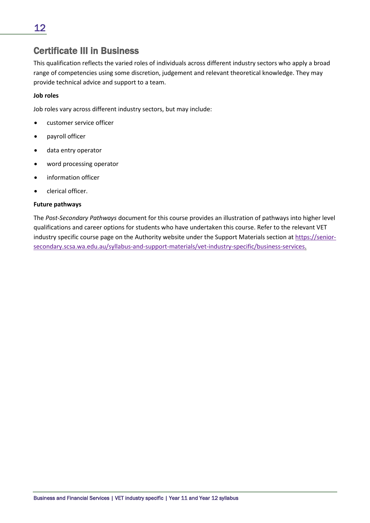### <span id="page-15-0"></span>Certificate III in Business

This qualification reflects the varied roles of individuals across different industry sectors who apply a broad range of competencies using some discretion, judgement and relevant theoretical knowledge. They may provide technical advice and support to a team.

#### **Job roles**

Job roles vary across different industry sectors, but may include:

- customer service officer
- payroll officer
- data entry operator
- word processing operator
- information officer
- clerical officer.

#### **Future pathways**

The *Post-Secondary Pathways* document for this course provides an illustration of pathways into higher level qualifications and career options for students who have undertaken this course. Refer to the relevant VET industry specific course page on the Authority website under the Support Materials section at [https://senior](https://senior-secondary.scsa.wa.edu.au/syllabus-and-support-materials/vet-industry-specific/business-services)[secondary.scsa.wa.edu.au/syllabus-and-support-materials/vet-industry-specific/business-services.](https://senior-secondary.scsa.wa.edu.au/syllabus-and-support-materials/vet-industry-specific/business-services)

Business and Financial Services | VET industry specific | Year 11 and Year 12 syllabus

12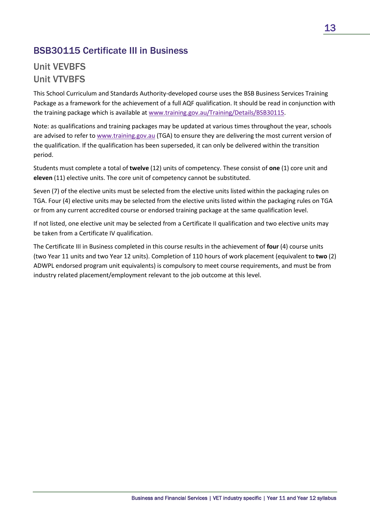### BSB30115 Certificate III in Business

### Unit VEVBFS Unit VTVBFS

This School Curriculum and Standards Authority-developed course uses the BSB Business Services Training Package as a framework for the achievement of a full AQF qualification. It should be read in conjunction with the training package which is available at [www.training.gov.au/Training/Details/BSB30115.](http://training.gov.au/Training/Details/BSB30115)

Note: as qualifications and training packages may be updated at various times throughout the year, schools are advised to refer to [www.training.gov.au](https://training.gov.au/) (TGA) to ensure they are delivering the most current version of the qualification. If the qualification has been superseded, it can only be delivered within the transition period.

Students must complete a total of **twelve** (12) units of competency. These consist of **one** (1) core unit and **eleven** (11) elective units. The core unit of competency cannot be substituted.

Seven (7) of the elective units must be selected from the elective units listed within the packaging rules on TGA. Four (4) elective units may be selected from the elective units listed within the packaging rules on TGA or from any current accredited course or endorsed training package at the same qualification level.

If not listed, one elective unit may be selected from a Certificate II qualification and two elective units may be taken from a Certificate IV qualification.

The Certificate III in Business completed in this course results in the achievement of **four** (4) course units (two Year 11 units and two Year 12 units). Completion of 110 hours of work placement (equivalent to **two** (2) ADWPL endorsed program unit equivalents) is compulsory to meet course requirements, and must be from industry related placement/employment relevant to the job outcome at this level.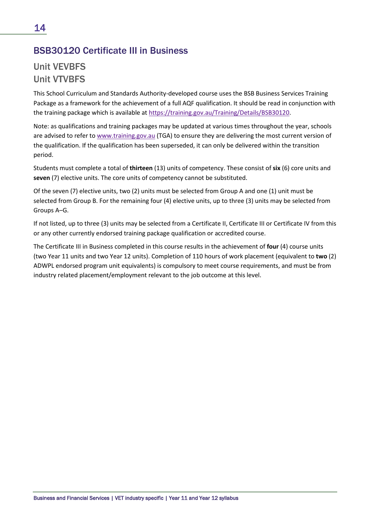### BSB30120 Certificate III in Business

## Unit VEVBFS Unit VTVBFS

This School Curriculum and Standards Authority-developed course uses the BSB Business Services Training Package as a framework for the achievement of a full AQF qualification. It should be read in conjunction with the training package which is available a[t https://training.gov.au/Training/Details/BSB30120.](https://training.gov.au/Training/Details/BSB30120)

Note: as qualifications and training packages may be updated at various times throughout the year, schools are advised to refer to [www.training.gov.au](https://training.gov.au/) (TGA) to ensure they are delivering the most current version of the qualification. If the qualification has been superseded, it can only be delivered within the transition period.

Students must complete a total of **thirteen** (13) units of competency. These consist of **six** (6) core units and **seven** (7) elective units. The core units of competency cannot be substituted.

Of the seven (7) elective units, two (2) units must be selected from Group A and one (1) unit must be selected from Group B. For the remaining four (4) elective units, up to three (3) units may be selected from Groups A–G.

If not listed, up to three (3) units may be selected from a Certificate II, Certificate III or Certificate IV from this or any other currently endorsed training package qualification or accredited course.

The Certificate III in Business completed in this course results in the achievement of **four** (4) course units (two Year 11 units and two Year 12 units). Completion of 110 hours of work placement (equivalent to **two** (2) ADWPL endorsed program unit equivalents) is compulsory to meet course requirements, and must be from industry related placement/employment relevant to the job outcome at this level.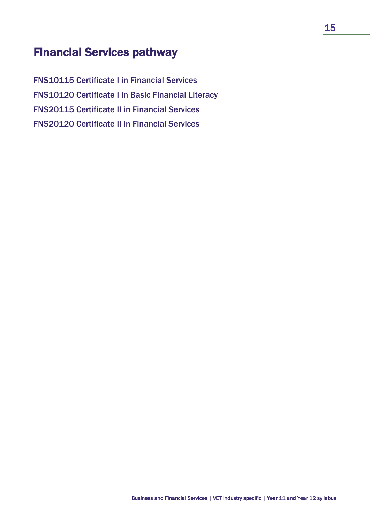## <span id="page-18-0"></span>Financial Services pathway

FNS10115 Certificate I in Financial Services FNS10120 Certificate I in Basic Financial Literacy FNS20115 Certificate II in Financial Services FNS20120 Certificate II in Financial Services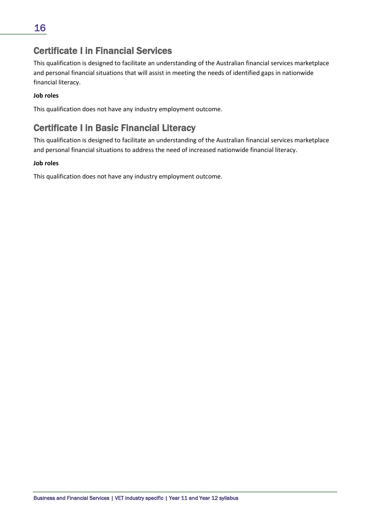### <span id="page-19-0"></span>Certificate I in Financial Services

This qualification is designed to facilitate an understanding of the Australian financial services marketplace and personal financial situations that will assist in meeting the needs of identified gaps in nationwide financial literacy.

### **Job roles**

This qualification does not have any industry employment outcome.

### <span id="page-19-1"></span>Certificate I in Basic Financial Literacy

This qualification is designed to facilitate an understanding of the Australian financial services marketplace and personal financial situations to address the need of increased nationwide financial literacy.

#### **Job roles**

This qualification does not have any industry employment outcome.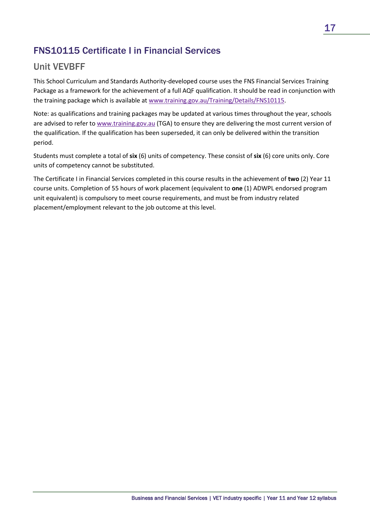### FNS10115 Certificate I in Financial Services

### Unit VEVBFF

This School Curriculum and Standards Authority-developed course uses the FNS Financial Services Training Package as a framework for the achievement of a full AQF qualification. It should be read in conjunction with the training package which is available a[t www.training.gov.au/Training/Details/FNS10115.](http://training.gov.au/Training/Details/FNS10115)

Note: as qualifications and training packages may be updated at various times throughout the year, schools are advised to refer to [www.training.gov.au](https://training.gov.au/) (TGA) to ensure they are delivering the most current version of the qualification. If the qualification has been superseded, it can only be delivered within the transition period.

Students must complete a total of **six** (6) units of competency. These consist of **six** (6) core units only. Core units of competency cannot be substituted.

The Certificate I in Financial Services completed in this course results in the achievement of **two** (2) Year 11 course units. Completion of 55 hours of work placement (equivalent to **one** (1) ADWPL endorsed program unit equivalent) is compulsory to meet course requirements, and must be from industry related placement/employment relevant to the job outcome at this level.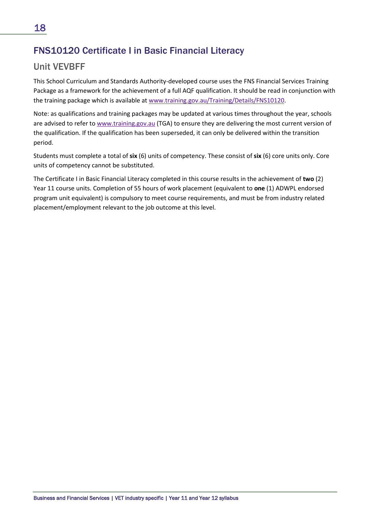### FNS10120 Certificate I in Basic Financial Literacy

### Unit VEVBFF

This School Curriculum and Standards Authority-developed course uses the FNS Financial Services Training Package as a framework for the achievement of a full AQF qualification. It should be read in conjunction with the training package which is available a[t www.training.gov.au/Training/Details/FNS10120.](http://www.training.gov.au/Training/Details/FNS10120)

Note: as qualifications and training packages may be updated at various times throughout the year, schools are advised to refer to [www.training.gov.au](https://training.gov.au/) (TGA) to ensure they are delivering the most current version of the qualification. If the qualification has been superseded, it can only be delivered within the transition period.

Students must complete a total of **six** (6) units of competency. These consist of **six** (6) core units only. Core units of competency cannot be substituted.

The Certificate I in Basic Financial Literacy completed in this course results in the achievement of **two** (2) Year 11 course units. Completion of 55 hours of work placement (equivalent to **one** (1) ADWPL endorsed program unit equivalent) is compulsory to meet course requirements, and must be from industry related placement/employment relevant to the job outcome at this level.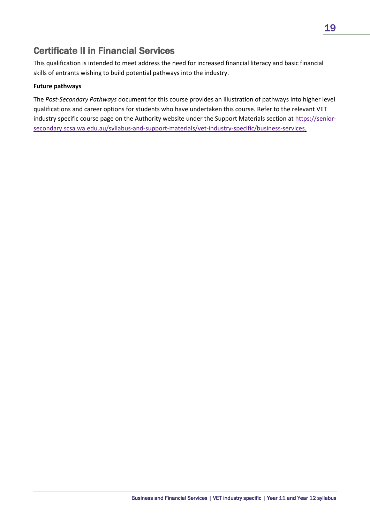### <span id="page-22-0"></span>Certificate II in Financial Services

This qualification is intended to meet address the need for increased financial literacy and basic financial skills of entrants wishing to build potential pathways into the industry.

### **Future pathways**

The *Post-Secondary Pathways* document for this course provides an illustration of pathways into higher level qualifications and career options for students who have undertaken this course. Refer to the relevant VET industry specific course page on the Authority website under the Support Materials section at [https://senior](https://senior-secondary.scsa.wa.edu.au/syllabus-and-support-materials/vet-industry-specific/business-services)[secondary.scsa.wa.edu.au/syllabus-and-support-materials/vet-industry-specific/business-services.](https://senior-secondary.scsa.wa.edu.au/syllabus-and-support-materials/vet-industry-specific/business-services)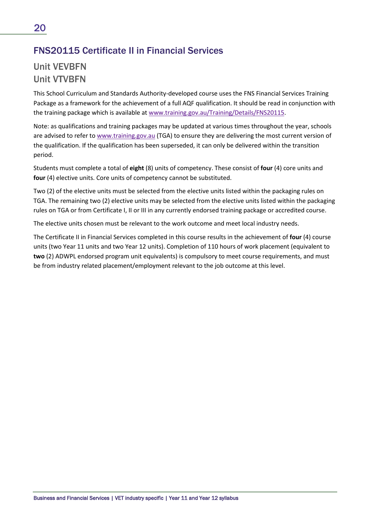### FNS20115 Certificate II in Financial Services

### Unit VEVBFN Unit VTVBFN

This School Curriculum and Standards Authority-developed course uses the FNS Financial Services Training Package as a framework for the achievement of a full AQF qualification. It should be read in conjunction with the training package which is available a[t www.training.gov.au/Training/Details/FNS20115.](http://training.gov.au/Training/Details/FNS20115)

Note: as qualifications and training packages may be updated at various times throughout the year, schools are advised to refer to [www.training.gov.au](https://training.gov.au/) (TGA) to ensure they are delivering the most current version of the qualification. If the qualification has been superseded, it can only be delivered within the transition period.

Students must complete a total of **eight** (8) units of competency. These consist of **four** (4) core units and **four** (4) elective units. Core units of competency cannot be substituted.

Two (2) of the elective units must be selected from the elective units listed within the packaging rules on TGA. The remaining two (2) elective units may be selected from the elective units listed within the packaging rules on TGA or from Certificate I, II or III in any currently endorsed training package or accredited course.

The elective units chosen must be relevant to the work outcome and meet local industry needs.

The Certificate II in Financial Services completed in this course results in the achievement of **four** (4) course units (two Year 11 units and two Year 12 units). Completion of 110 hours of work placement (equivalent to **two** (2) ADWPL endorsed program unit equivalents) is compulsory to meet course requirements, and must be from industry related placement/employment relevant to the job outcome at this level.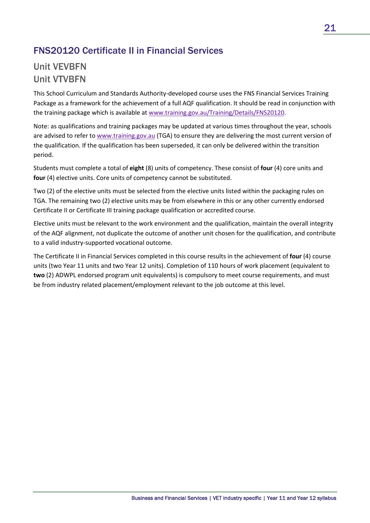### FNS20120 Certificate II in Financial Services

### Unit VEVBFN Unit VTVBFN

This School Curriculum and Standards Authority-developed course uses the FNS Financial Services Training Package as a framework for the achievement of a full AQF qualification. It should be read in conjunction with the training package which is available a[t www.training.gov.au/Training/Details/FNS20120.](http://www.training.gov.au/Training/Details/FNS20120)

Note: as qualifications and training packages may be updated at various times throughout the year, schools are advised to refer to [www.training.gov.au](https://training.gov.au/) (TGA) to ensure they are delivering the most current version of the qualification. If the qualification has been superseded, it can only be delivered within the transition period.

Students must complete a total of **eight** (8) units of competency. These consist of **four** (4) core units and **four** (4) elective units. Core units of competency cannot be substituted.

Two (2) of the elective units must be selected from the elective units listed within the packaging rules on TGA. The remaining two (2) elective units may be from elsewhere in this or any other currently endorsed Certificate II or Certificate III training package qualification or accredited course.

Elective units must be relevant to the work environment and the qualification, maintain the overall integrity of the AQF alignment, not duplicate the outcome of another unit chosen for the qualification, and contribute to a valid industry-supported vocational outcome.

The Certificate II in Financial Services completed in this course results in the achievement of **four** (4) course units (two Year 11 units and two Year 12 units). Completion of 110 hours of work placement (equivalent to **two** (2) ADWPL endorsed program unit equivalents) is compulsory to meet course requirements, and must be from industry related placement/employment relevant to the job outcome at this level.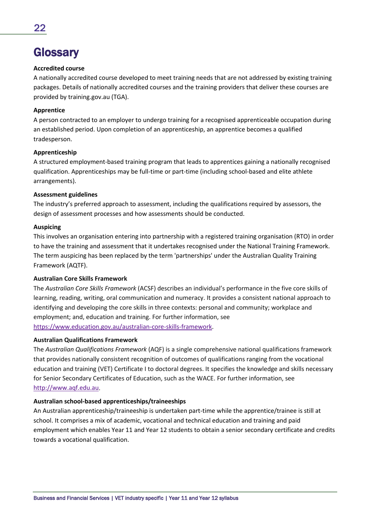## <span id="page-25-0"></span>**Glossary**

#### **Accredited course**

A nationally accredited course developed to meet training needs that are not addressed by existing training packages. Details of nationally accredited courses and the training providers that deliver these courses are provided by training.gov.au (TGA).

#### **Apprentice**

A person contracted to an employer to undergo training for a recognised apprenticeable occupation during an established period. Upon completion of an apprenticeship, an apprentice becomes a qualified tradesperson.

#### **Apprenticeship**

A structured employment-based training program that leads to apprentices gaining a nationally recognised qualification. Apprenticeships may be full-time or part-time (including school-based and elite athlete arrangements).

#### **Assessment guidelines**

The industry's preferred approach to assessment, including the qualifications required by assessors, the design of assessment processes and how assessments should be conducted.

#### **Auspicing**

This involves an organisation entering into partnership with a registered training organisation (RTO) in order to have the training and assessment that it undertakes recognised under the National Training Framework. The term auspicing has been replaced by the term 'partnerships' under the Australian Quality Training Framework (AQTF).

#### **Australian Core Skills Framework**

The *Australian Core Skills Framework* (ACSF) describes an individual's performance in the five core skills of learning, reading, writing, oral communication and numeracy. It provides a consistent national approach to identifying and developing the core skills in three contexts: personal and community; workplace and employment; and, education and training. For further information, see [https://www.education.gov.au/australian-core-skills-framework.](https://www.education.gov.au/australian-core-skills-framework)

#### **Australian Qualifications Framework**

The *Australian Qualifications Framework* (AQF) is a single comprehensive national qualifications framework that provides nationally consistent recognition of outcomes of qualifications ranging from the vocational education and training (VET) Certificate I to doctoral degrees. It specifies the knowledge and skills necessary for Senior Secondary Certificates of Education, such as the WACE. For further information, see [http://www.aqf.edu.au.](http://www.aqf.edu.au/)

#### **Australian school-based apprenticeships/traineeships**

An Australian apprenticeship/traineeship is undertaken part-time while the apprentice/trainee is still at school. It comprises a mix of academic, vocational and technical education and training and paid employment which enables Year 11 and Year 12 students to obtain a senior secondary certificate and credits towards a vocational qualification.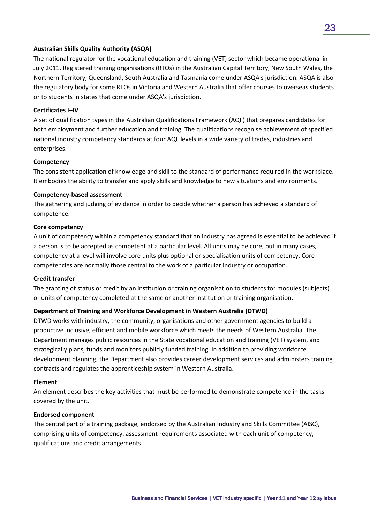#### **Australian Skills Quality Authority (ASQA)**

The national regulator for the vocational education and training (VET) sector which became operational in July 2011. Registered training organisations (RTOs) in the Australian Capital Territory, New South Wales, the Northern Territory, Queensland, South Australia and Tasmania come under ASQA's jurisdiction. ASQA is also the regulatory body for some RTOs in Victoria and Western Australia that offer courses to overseas students or to students in states that come under ASQA's jurisdiction.

#### **Certificates I–IV**

A set of qualification types in the Australian Qualifications Framework (AQF) that prepares candidates for both employment and further education and training. The qualifications recognise achievement of specified national industry competency standards at four AQF levels in a wide variety of trades, industries and enterprises.

#### **Competency**

The consistent application of knowledge and skill to the standard of performance required in the workplace. It embodies the ability to transfer and apply skills and knowledge to new situations and environments.

#### **Competency-based assessment**

The gathering and judging of evidence in order to decide whether a person has achieved a standard of competence.

#### **Core competency**

A unit of competency within a competency standard that an industry has agreed is essential to be achieved if a person is to be accepted as competent at a particular level. All units may be core, but in many cases, competency at a level will involve core units plus optional or specialisation units of competency. Core competencies are normally those central to the work of a particular industry or occupation.

#### **Credit transfer**

The granting of status or credit by an institution or training organisation to students for modules (subjects) or units of competency completed at the same or another institution or training organisation.

#### **Department of Training and Workforce Development in Western Australia (DTWD)**

DTWD works with industry, the community, organisations and other government agencies to build a productive inclusive, efficient and mobile workforce which meets the needs of Western Australia. The Department manages public resources in the State vocational education and training (VET) system, and strategically plans, funds and monitors publicly funded training. In addition to providing workforce development planning, the Department also provides career development services and administers training contracts and regulates the apprenticeship system in Western Australia.

#### **Element**

An element describes the key activities that must be performed to demonstrate competence in the tasks covered by the unit.

#### **Endorsed component**

The central part of a training package, endorsed by the Australian Industry and Skills Committee (AISC), comprising units of competency, assessment requirements associated with each unit of competency, qualifications and credit arrangements.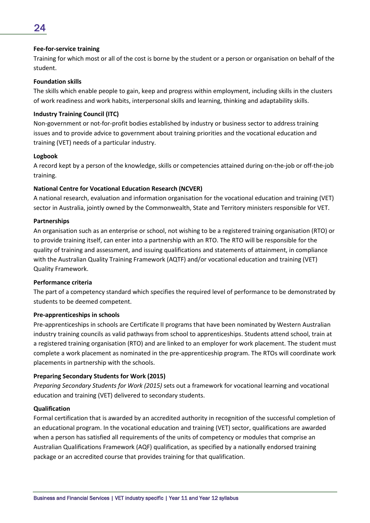### 24

#### **Fee-for-service training**

Training for which most or all of the cost is borne by the student or a person or organisation on behalf of the student.

#### **Foundation skills**

The skills which enable people to gain, keep and progress within employment, including skills in the clusters of work readiness and work habits, interpersonal skills and learning, thinking and adaptability skills.

#### **Industry Training Council (ITC)**

Non-government or not-for-profit bodies established by industry or business sector to address training issues and to provide advice to government about training priorities and the vocational education and training (VET) needs of a particular industry.

#### **Logbook**

A record kept by a person of the knowledge, skills or competencies attained during on-the-job or off-the-job training.

#### **National Centre for Vocational Education Research (NCVER)**

A national research, evaluation and information organisation for the vocational education and training (VET) sector in Australia, jointly owned by the Commonwealth, State and Territory ministers responsible for VET.

#### **Partnerships**

An organisation such as an enterprise or school, not wishing to be a registered training organisation (RTO) or to provide training itself, can enter into a partnership with an RTO. The RTO will be responsible for the quality of training and assessment, and issuing qualifications and statements of attainment, in compliance with the Australian Quality Training Framework (AQTF) and/or vocational education and training (VET) Quality Framework.

#### **Performance criteria**

The part of a competency standard which specifies the required level of performance to be demonstrated by students to be deemed competent.

#### **Pre-apprenticeships in schools**

Pre-apprenticeships in schools are Certificate II programs that have been nominated by Western Australian industry training councils as valid pathways from school to apprenticeships. Students attend school, train at a registered training organisation (RTO) and are linked to an employer for work placement. The student must complete a work placement as nominated in the pre-apprenticeship program. The RTOs will coordinate work placements in partnership with the schools.

#### **Preparing Secondary Students for Work (2015)**

*Preparing Secondary Students for Work (2015)* sets out a framework for vocational learning and vocational education and training (VET) delivered to secondary students.

#### **Qualification**

Formal certification that is awarded by an accredited authority in recognition of the successful completion of an educational program. In the vocational education and training (VET) sector, qualifications are awarded when a person has satisfied all requirements of the units of competency or modules that comprise an Australian Qualifications Framework (AQF) qualification, as specified by a nationally endorsed training package or an accredited course that provides training for that qualification.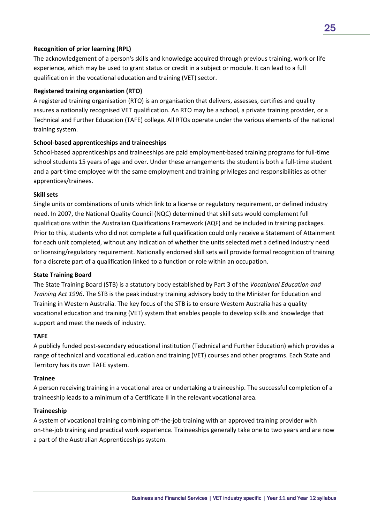#### **Recognition of prior learning (RPL)**

The acknowledgement of a person's skills and knowledge acquired through previous training, work or life experience, which may be used to grant status or credit in a subject or module. It can lead to a full qualification in the vocational education and training (VET) sector.

#### **Registered training organisation (RTO)**

A registered training organisation (RTO) is an organisation that delivers, assesses, certifies and quality assures a nationally recognised VET qualification. An RTO may be a school, a private training provider, or a Technical and Further Education (TAFE) college. All RTOs operate under the various elements of the national training system.

#### **School-based apprenticeships and traineeships**

School-based apprenticeships and traineeships are paid employment-based training programs for full-time school students 15 years of age and over. Under these arrangements the student is both a full-time student and a part-time employee with the same employment and training privileges and responsibilities as other apprentices/trainees.

#### **Skill sets**

Single units or combinations of units which link to a license or regulatory requirement, or defined industry need. In 2007, the National Quality Council (NQC) determined that skill sets would complement full qualifications within the Australian Qualifications Framework (AQF) and be included in training packages. Prior to this, students who did not complete a full qualification could only receive a Statement of Attainment for each unit completed, without any indication of whether the units selected met a defined industry need or licensing/regulatory requirement. Nationally endorsed skill sets will provide formal recognition of training for a discrete part of a qualification linked to a function or role within an occupation.

#### **State Training Board**

The State Training Board (STB) is a statutory body established by Part 3 of the *Vocational Education and Training Act 1996*. The STB is the peak industry training advisory body to the Minister for Education and Training in Western Australia. The key focus of the STB is to ensure Western Australia has a quality vocational education and training (VET) system that enables people to develop skills and knowledge that support and meet the needs of industry.

#### **TAFE**

A publicly funded post-secondary educational institution (Technical and Further Education) which provides a range of technical and vocational education and training (VET) courses and other programs. Each State and Territory has its own TAFE system.

#### **Trainee**

A person receiving training in a vocational area or undertaking a traineeship. The successful completion of a traineeship leads to a minimum of a Certificate II in the relevant vocational area.

#### **Traineeship**

A system of vocational training combining off-the-job training with an approved training provider with on-the-job training and practical work experience. Traineeships generally take one to two years and are now a part of the Australian Apprenticeships system.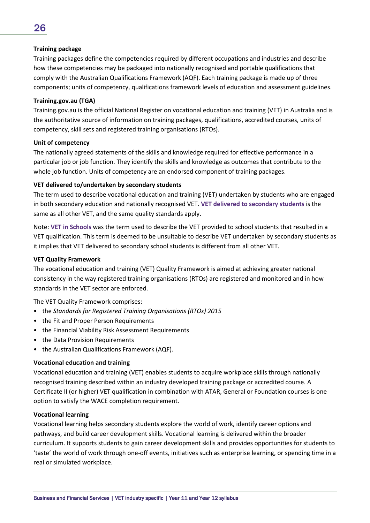#### **Training package**

Training packages define the competencies required by different occupations and industries and describe how these competencies may be packaged into nationally recognised and portable qualifications that comply with the Australian Qualifications Framework (AQF). Each training package is made up of three components; units of competency, qualifications framework levels of education and assessment guidelines.

#### **Training.gov.au (TGA)**

Training.gov.au is the official National Register on vocational education and training (VET) in Australia and is the authoritative source of information on training packages, qualifications, accredited courses, units of competency, skill sets and registered training organisations (RTOs).

#### **Unit of competency**

The nationally agreed statements of the skills and knowledge required for effective performance in a particular job or job function. They identify the skills and knowledge as outcomes that contribute to the whole job function. Units of competency are an endorsed component of training packages.

#### **VET delivered to/undertaken by secondary students**

The term used to describe vocational education and training (VET) undertaken by students who are engaged in both secondary education and nationally recognised VET. **VET delivered to secondary students** is the same as all other VET, and the same quality standards apply.

Note: **VET in Schools** was the term used to describe the VET provided to school students that resulted in a VET qualification. This term is deemed to be unsuitable to describe VET undertaken by secondary students as it implies that VET delivered to secondary school students is different from all other VET.

#### **VET Quality Framework**

The vocational education and training (VET) Quality Framework is aimed at achieving greater national consistency in the way registered training organisations (RTOs) are registered and monitored and in how standards in the VET sector are enforced.

The VET Quality Framework comprises:

- the *Standards for Registered Training Organisations (RTOs) 2015*
- the Fit and Proper Person Requirements
- the Financial Viability Risk Assessment Requirements
- the Data Provision Requirements
- the Australian Qualifications Framework (AQF).

#### **Vocational education and training**

Vocational education and training (VET) enables students to acquire workplace skills through nationally recognised training described within an industry developed training package or accredited course. A Certificate II (or higher) VET qualification in combination with ATAR, General or Foundation courses is one option to satisfy the WACE completion requirement.

#### **Vocational learning**

Vocational learning helps secondary students explore the world of work, identify career options and pathways, and build career development skills. Vocational learning is delivered within the broader curriculum. It supports students to gain career development skills and provides opportunities for students to 'taste' the world of work through one-off events, initiatives such as enterprise learning, or spending time in a real or simulated workplace.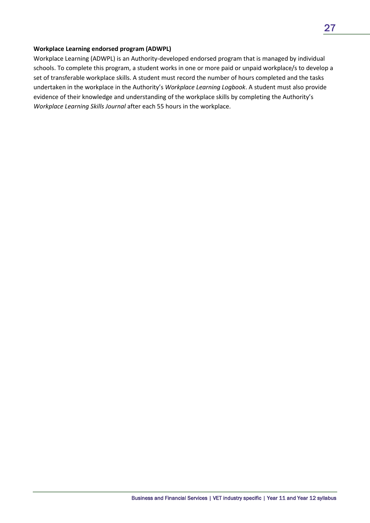#### **Workplace Learning endorsed program (ADWPL)**

Workplace Learning (ADWPL) is an Authority-developed endorsed program that is managed by individual schools. To complete this program, a student works in one or more paid or unpaid workplace/s to develop a set of transferable workplace skills. A student must record the number of hours completed and the tasks undertaken in the workplace in the Authority's *Workplace Learning Logbook*. A student must also provide evidence of their knowledge and understanding of the workplace skills by completing the Authority's *Workplace Learning Skills Journal* after each 55 hours in the workplace.